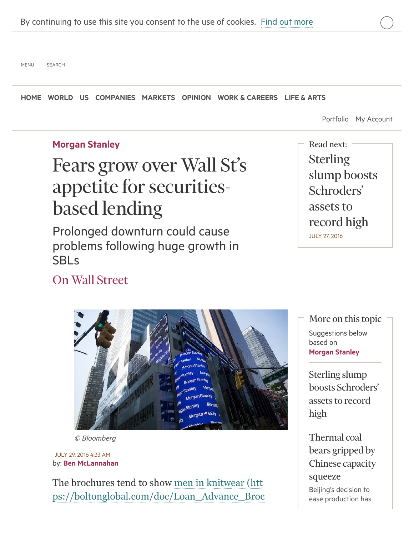[MENU](https://next.ft.com/content/419c860a-54fa-11e6-9664-e0bdc13c3bef#o-header-drawer) [SEARCH](https://next.ft.com/content/419c860a-54fa-11e6-9664-e0bdc13c3bef#o-header-search-primary)

[HOME](https://next.ft.com/) [WORLD](https://next.ft.com/world) [US](https://next.ft.com/world/us) [COMPANIES](https://next.ft.com/companies) [MARKETS](https://next.ft.com/markets) [OPINION](https://next.ft.com/comment) [WORK & CAREERS](https://next.ft.com/management) [LIFE & ARTS](https://next.ft.com/life-arts)

[Portfolio](http://markets.ft.com/data/portfolio/dashboard) [My Account](https://registration.ft.com/registration/selfcare/)

#### [Morgan Stanley](https://next.ft.com/stream/organisationsId/TnN0ZWluX09OX0ZvcnR1bmVDb21wYW55X01T-T04=)

# Fears grow over Wall St's appetite for securitiesbased lending

Prolonged downturn could cause problems following huge growth in **SBL<sub>S</sub>** 

**Sterling** [slump boosts](https://next.ft.com/content/0936b18b-5b06-3fb8-8577-76b3d819c52a) Schroders' assets to record high JULY 27, 2016 Read next:

## [On Wall Street](https://next.ft.com/stream/brandId/NTU4YjAwNTQtNzJjNC00MmZlLTljYzYtOTY4ZTFhZWQ3OTc4-QnJhbmRz)

Suggestions below based on [Morgan Stanley](https://next.ft.com/stream/organisationsId/TnN0ZWluX09OX0ZvcnR1bmVDb21wYW55X01T-T04=) More on this topic

Sterling slump [boosts Schroders'](https://next.ft.com/content/0936b18b-5b06-3fb8-8577-76b3d819c52a) assets to record high

Thermal coal bears gripped by [Chinese capacity](https://next.ft.com/content/5791c4e2-500f-11e6-8172-e39ecd3b86fc) squeeze Beijing's decision to ease production has

#### © Bloomberg

by: [Ben McLannahan](https://next.ft.com/stream/authorsId/Q0ItMDAwMDgxMw==-QXV0aG9ycw==) JULY 29, 2016 4:33 AM

The brochures tend to show men in knitwear (htt [ps://boltonglobal.com/doc/Loan\\_Advance\\_Broc](https://boltonglobal.com/doc/Loan_Advance_Brochure.pdf)

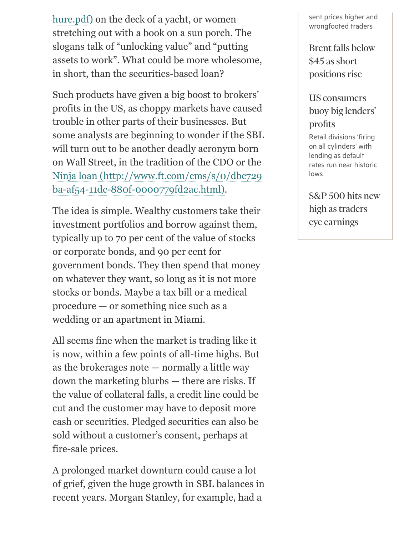[hure.pdf\) on the deck of a yacht, or women](https://boltonglobal.com/doc/Loan_Advance_Brochure.pdf) stretching out with a book on a sun porch. The slogans talk of "unlocking value" and "putting assets to work". What could be more wholesome, in short, than the securities-based loan?

Such products have given a big boost to brokers' profits in the US, as choppy markets have caused trouble in other parts of their businesses. But some analysts are beginning to wonder if the SBL will turn out to be another deadly acronym born on Wall Street, in the tradition of the CDO or the [Ninja loan \(http://www.ft.com/cms/s/0/dbc729](http://www.ft.com/cms/s/0/dbc729ba-af54-11dc-880f-0000779fd2ac.html) ba-af54-11dc-880f-0000779fd2ac.html).

The idea is simple. Wealthy customers take their investment portfolios and borrow against them, typically up to 70 per cent of the value of stocks or corporate bonds, and 90 per cent for government bonds. They then spend that money on whatever they want, so long as it is not more stocks or bonds. Maybe a tax bill or a medical procedure — or something nice such as a wedding or an apartment in Miami.

All seems fine when the market is trading like it is now, within a few points of all-time highs. But as the brokerages note — normally a little way down the marketing blurbs — there are risks. If the value of collateral falls, a credit line could be cut and the customer may have to deposit more cash or securities. Pledged securities can also be sold without a customer's consent, perhaps at fire-sale prices.

A prolonged market downturn could cause a lot of grief, given the huge growth in SBL balances in recent years. Morgan Stanley, for example, had a

sent prices higher and wrongfooted traders

[Brent falls below](https://next.ft.com/content/3de9a0e7-9a5e-3c6b-afda-4ff702963a22) \$45 as short positions rise

### US consumers [buoy big lenders'](https://next.ft.com/content/5df530dc-4e87-11e6-88c5-db83e98a590a) profits

Retail divisions 'firing on all cylinders' with lending as default rates run near historic lows

[S&P 500 hits new](https://next.ft.com/content/8c27f78c-c3b2-32f6-8f63-6c2a84d0cdf3) high as traders eye earnings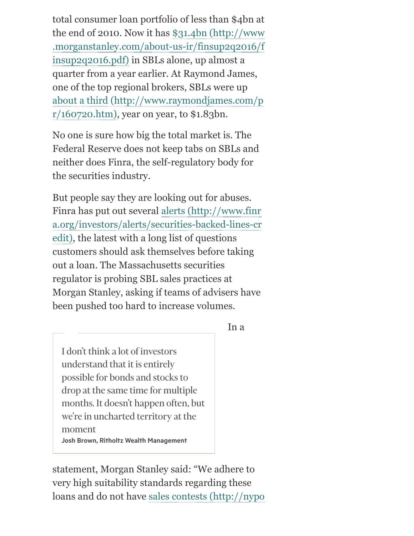total consumer loan portfolio of less than \$4bn at [the end of 2010. Now it has \\$31.4bn \(http://www](http://www.morganstanley.com/about-us-ir/finsup2q2016/finsup2q2016.pdf) .morganstanley.com/about-us-ir/finsup2q2016/f insup2q2016.pdf) in SBLs alone, up almost a quarter from a year earlier. At Raymond James, one of the top regional brokers, SBLs were up [about a third \(http://www.raymondjames.com/p](http://www.raymondjames.com/pr/160720.htm)  $r/160720.html$ , year on year, to \$1.83bn.

No one is sure how big the total market is. The Federal Reserve does not keep tabs on SBLs and neither does Finra, the self-regulatory body for the securities industry.

But people say they are looking out for abuses. Finra has put out several alerts (http://www.finr [a.org/investors/alerts/securities-backed-lines-cr](http://www.finra.org/investors/alerts/securities-backed-lines-credit) edit), the latest with a long list of questions customers should ask themselves before taking out a loan. The Massachusetts securities regulator is probing SBL sales practices at Morgan Stanley, asking if teams of advisers have been pushed too hard to increase volumes.

#### In a

I don't think a lot of investors understand that it is entirely possible for bonds and stocks to drop at the same time for multiple months. It doesn't happen often, but we're in uncharted territory at the moment Josh Brown, Ritholtz Wealth Management

statement, Morgan Stanley said: "We adhere to very high suitability standards regarding these [loans and do not have sales contests \(http://nypo](http://nypost.com/2016/03/02/morgan-stanley-sales-contest-raises-conflict-of-interest-concerns/)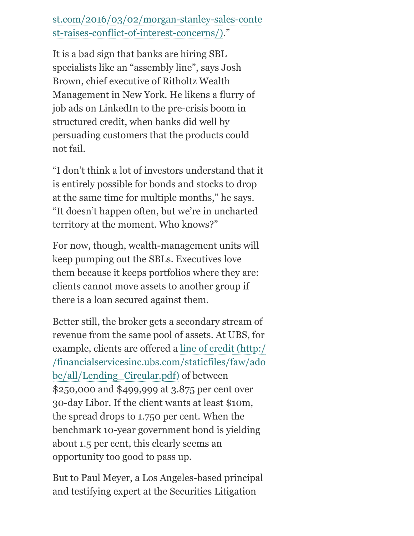## [st.com/2016/03/02/morgan-stanley-sales-conte](http://nypost.com/2016/03/02/morgan-stanley-sales-contest-raises-conflict-of-interest-concerns/) st-raises-conflict-of-interest-concerns/)."

It is a bad sign that banks are hiring SBL specialists like an "assembly line", says Josh Brown, chief executive of Ritholtz Wealth Management in New York. He likens a flurry of job ads on LinkedIn to the pre-crisis boom in structured credit, when banks did well by persuading customers that the products could not fail.

"I don't think a lot of investors understand that it is entirely possible for bonds and stocks to drop at the same time for multiple months," he says. "It doesn't happen often, but we're in uncharted territory at the moment. Who knows?"

For now, though, wealth-management units will keep pumping out the SBLs. Executives love them because it keeps portfolios where they are: clients cannot move assets to another group if there is a loan secured against them.

Better still, the broker gets a secondary stream of revenue from the same pool of assets. At UBS, for [example, clients are offered a line of credit \(http:/](http://financialservicesinc.ubs.com/staticfiles/faw/adobe/all/Lending_Circular.pdf) /financialservicesinc.ubs.com/staticfiles/faw/ado be/all/Lending\_Circular.pdf) of between \$250,000 and \$499,999 at 3.875 per cent over 30-day Libor. If the client wants at least \$10m, the spread drops to 1.750 per cent. When the benchmark 10-year government bond is yielding about 1.5 per cent, this clearly seems an opportunity too good to pass up.

But to Paul Meyer, a Los Angeles-based principal and testifying expert at the Securities Litigation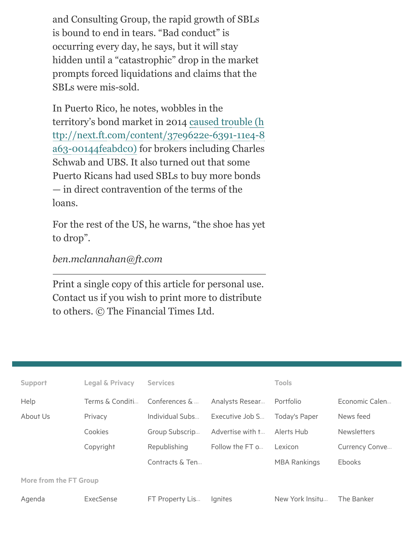and Consulting Group, the rapid growth of SBLs is bound to end in tears. "Bad conduct" is occurring every day, he says, but it will stay hidden until a "catastrophic" drop in the market prompts forced liquidations and claims that the SBLs were mis-sold.

In Puerto Rico, he notes, wobbles in the territory's bond market in 2014 caused trouble (h [ttp://next.ft.com/content/37e9622e-6391-11e4-8](https://next.ft.com/content/37e9622e-6391-11e4-8a63-00144feabdc0) a63-00144feabdc0) for brokers including Charles Schwab and UBS. It also turned out that some Puerto Ricans had used SBLs to buy more bonds — in direct contravention of the terms of the loans.

For the rest of the US, he warns, "the shoe has yet to drop".

*ben.mclannahan@ft.com*

Print a single copy of this article for personal use. Contact us if you wish to print more to distribute to others. © The Financial Times Ltd.

| <b>Support</b>         | <b>Legal &amp; Privacy</b> | <b>Services</b>  |                  | <b>Tools</b>        |                    |  |  |  |
|------------------------|----------------------------|------------------|------------------|---------------------|--------------------|--|--|--|
| Help                   | Terms & Conditi            | Conferences $\&$ | Analysts Resear  | Portfolio           | Economic Calen     |  |  |  |
| About Us               | Privacy                    | Individual Subs  | Executive Job S  | Today's Paper       | News feed          |  |  |  |
|                        | Cookies                    | Group Subscrip   | Advertise with t | Alerts Hub          | <b>Newsletters</b> |  |  |  |
|                        | Copyright                  | Republishing     | Follow the FT o  | Lexicon             | Currency Conve     |  |  |  |
|                        |                            | Contracts & Ten  |                  | <b>MBA Rankings</b> | <b>Ebooks</b>      |  |  |  |
| More from the FT Group |                            |                  |                  |                     |                    |  |  |  |
| Agenda                 | ExecSense                  | FT Property Lis  | lgnites          | New York Insitu     | The Banker         |  |  |  |